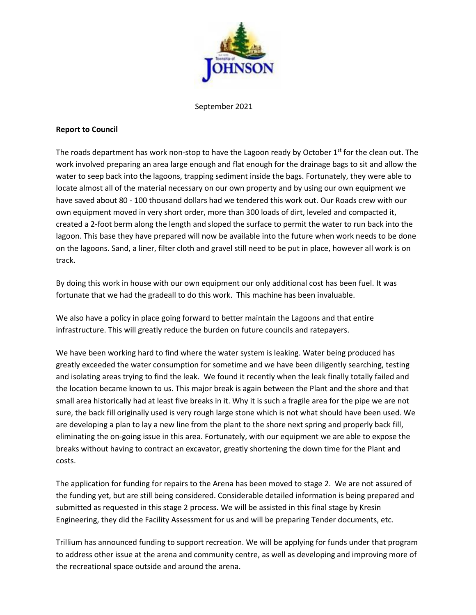

September 2021

## **Report to Council**

The roads department has work non-stop to have the Lagoon ready by October  $1<sup>st</sup>$  for the clean out. The work involved preparing an area large enough and flat enough for the drainage bags to sit and allow the water to seep back into the lagoons, trapping sediment inside the bags. Fortunately, they were able to locate almost all of the material necessary on our own property and by using our own equipment we have saved about 80 - 100 thousand dollars had we tendered this work out. Our Roads crew with our own equipment moved in very short order, more than 300 loads of dirt, leveled and compacted it, created a 2-foot berm along the length and sloped the surface to permit the water to run back into the lagoon. This base they have prepared will now be available into the future when work needs to be done on the lagoons. Sand, a liner, filter cloth and gravel still need to be put in place, however all work is on track.

By doing this work in house with our own equipment our only additional cost has been fuel. It was fortunate that we had the gradeall to do this work. This machine has been invaluable.

We also have a policy in place going forward to better maintain the Lagoons and that entire infrastructure. This will greatly reduce the burden on future councils and ratepayers.

We have been working hard to find where the water system is leaking. Water being produced has greatly exceeded the water consumption for sometime and we have been diligently searching, testing and isolating areas trying to find the leak. We found it recently when the leak finally totally failed and the location became known to us. This major break is again between the Plant and the shore and that small area historically had at least five breaks in it. Why it is such a fragile area for the pipe we are not sure, the back fill originally used is very rough large stone which is not what should have been used. We are developing a plan to lay a new line from the plant to the shore next spring and properly back fill, eliminating the on-going issue in this area. Fortunately, with our equipment we are able to expose the breaks without having to contract an excavator, greatly shortening the down time for the Plant and costs.

The application for funding for repairs to the Arena has been moved to stage 2. We are not assured of the funding yet, but are still being considered. Considerable detailed information is being prepared and submitted as requested in this stage 2 process. We will be assisted in this final stage by Kresin Engineering, they did the Facility Assessment for us and will be preparing Tender documents, etc.

Trillium has announced funding to support recreation. We will be applying for funds under that program to address other issue at the arena and community centre, as well as developing and improving more of the recreational space outside and around the arena.